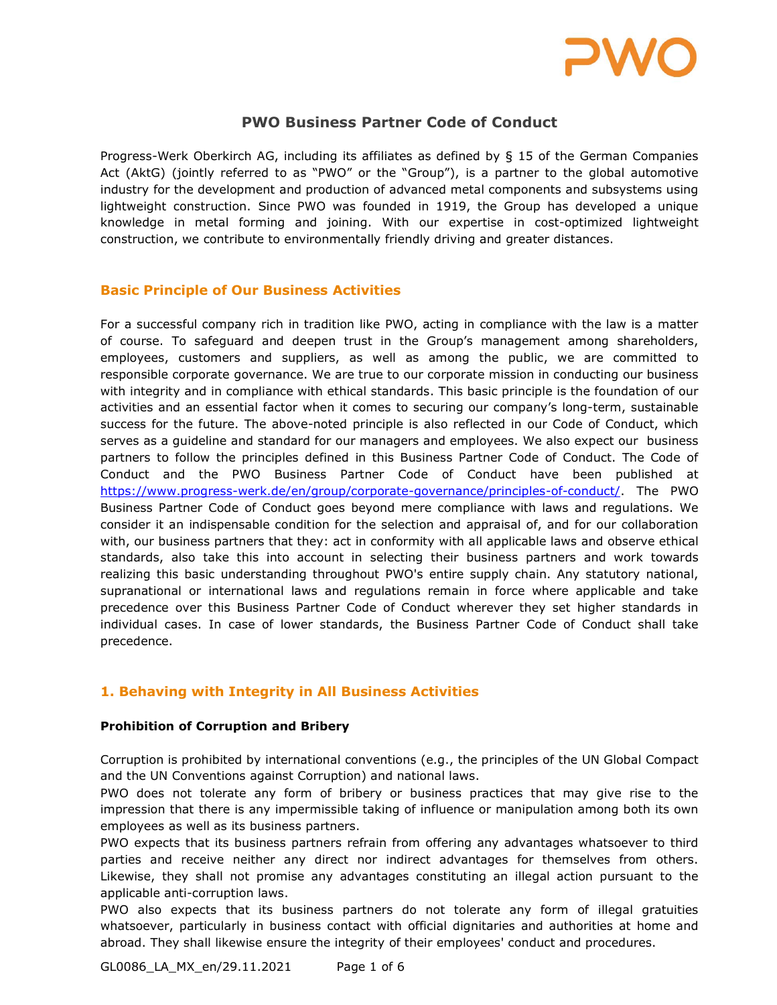

# PWO Business Partner Code of Conduct

Progress-Werk Oberkirch AG, including its affiliates as defined by § 15 of the German Companies Act (AktG) (jointly referred to as "PWO" or the "Group"), is a partner to the global automotive industry for the development and production of advanced metal components and subsystems using lightweight construction. Since PWO was founded in 1919, the Group has developed a unique knowledge in metal forming and joining. With our expertise in cost-optimized lightweight construction, we contribute to environmentally friendly driving and greater distances.

### Basic Principle of Our Business Activities

For a successful company rich in tradition like PWO, acting in compliance with the law is a matter of course. To safeguard and deepen trust in the Group's management among shareholders, employees, customers and suppliers, as well as among the public, we are committed to responsible corporate governance. We are true to our corporate mission in conducting our business with integrity and in compliance with ethical standards. This basic principle is the foundation of our activities and an essential factor when it comes to securing our company's long-term, sustainable success for the future. The above-noted principle is also reflected in our Code of Conduct, which serves as a guideline and standard for our managers and employees. We also expect our business partners to follow the principles defined in this Business Partner Code of Conduct. The Code of Conduct and the PWO Business Partner Code of Conduct have been published at https://www.progress-werk.de/en/group/corporate-governance/principles-of-conduct/. The PWO Business Partner Code of Conduct goes beyond mere compliance with laws and regulations. We consider it an indispensable condition for the selection and appraisal of, and for our collaboration with, our business partners that they: act in conformity with all applicable laws and observe ethical standards, also take this into account in selecting their business partners and work towards realizing this basic understanding throughout PWO's entire supply chain. Any statutory national, supranational or international laws and regulations remain in force where applicable and take precedence over this Business Partner Code of Conduct wherever they set higher standards in individual cases. In case of lower standards, the Business Partner Code of Conduct shall take precedence.

# 1. Behaving with Integrity in All Business Activities

#### Prohibition of Corruption and Bribery

Corruption is prohibited by international conventions (e.g., the principles of the UN Global Compact and the UN Conventions against Corruption) and national laws.

PWO does not tolerate any form of bribery or business practices that may give rise to the impression that there is any impermissible taking of influence or manipulation among both its own employees as well as its business partners.

PWO expects that its business partners refrain from offering any advantages whatsoever to third parties and receive neither any direct nor indirect advantages for themselves from others. Likewise, they shall not promise any advantages constituting an illegal action pursuant to the applicable anti-corruption laws.

PWO also expects that its business partners do not tolerate any form of illegal gratuities whatsoever, particularly in business contact with official dignitaries and authorities at home and abroad. They shall likewise ensure the integrity of their employees' conduct and procedures.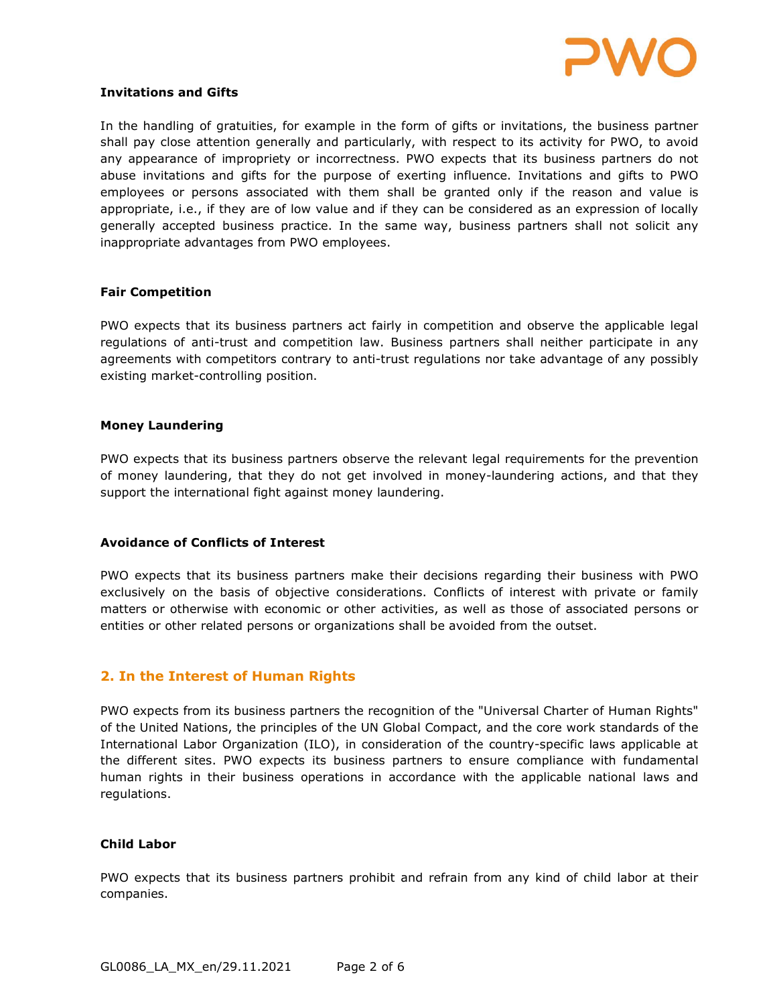

#### Invitations and Gifts

In the handling of gratuities, for example in the form of gifts or invitations, the business partner shall pay close attention generally and particularly, with respect to its activity for PWO, to avoid any appearance of impropriety or incorrectness. PWO expects that its business partners do not abuse invitations and gifts for the purpose of exerting influence. Invitations and gifts to PWO employees or persons associated with them shall be granted only if the reason and value is appropriate, i.e., if they are of low value and if they can be considered as an expression of locally generally accepted business practice. In the same way, business partners shall not solicit any inappropriate advantages from PWO employees.

#### Fair Competition

PWO expects that its business partners act fairly in competition and observe the applicable legal regulations of anti-trust and competition law. Business partners shall neither participate in any agreements with competitors contrary to anti-trust regulations nor take advantage of any possibly existing market-controlling position.

#### Money Laundering

PWO expects that its business partners observe the relevant legal requirements for the prevention of money laundering, that they do not get involved in money-laundering actions, and that they support the international fight against money laundering.

#### Avoidance of Conflicts of Interest

PWO expects that its business partners make their decisions regarding their business with PWO exclusively on the basis of objective considerations. Conflicts of interest with private or family matters or otherwise with economic or other activities, as well as those of associated persons or entities or other related persons or organizations shall be avoided from the outset.

### 2. In the Interest of Human Rights

PWO expects from its business partners the recognition of the "Universal Charter of Human Rights" of the United Nations, the principles of the UN Global Compact, and the core work standards of the International Labor Organization (ILO), in consideration of the country-specific laws applicable at the different sites. PWO expects its business partners to ensure compliance with fundamental human rights in their business operations in accordance with the applicable national laws and regulations.

#### Child Labor

PWO expects that its business partners prohibit and refrain from any kind of child labor at their companies.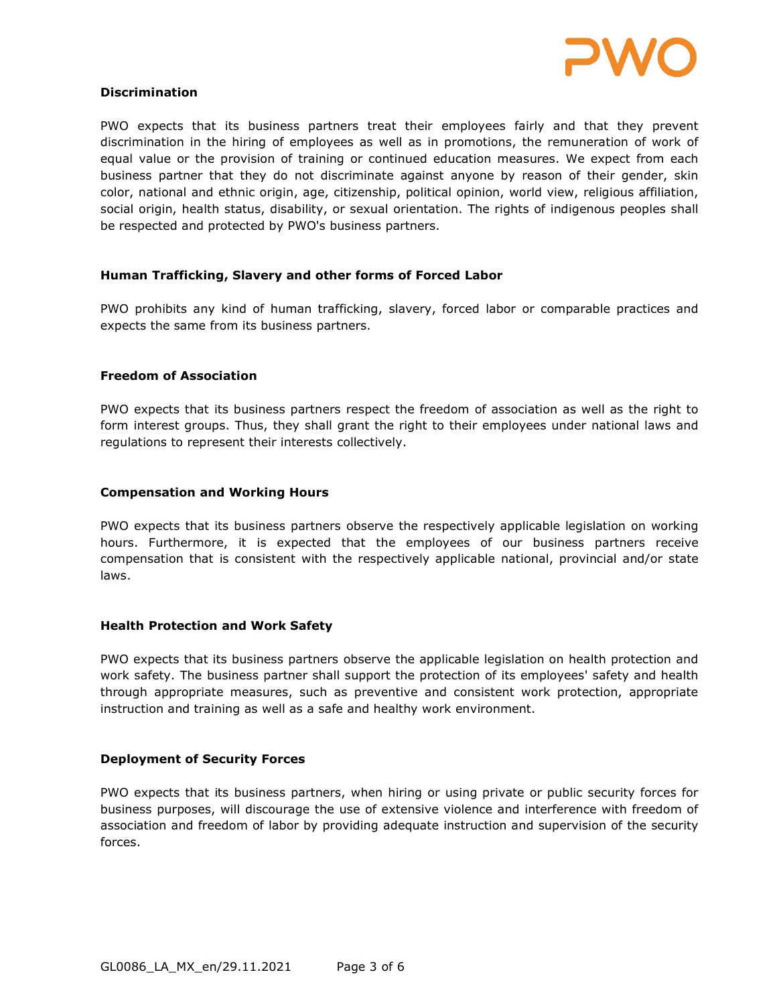

#### Discrimination

PWO expects that its business partners treat their employees fairly and that they prevent discrimination in the hiring of employees as well as in promotions, the remuneration of work of equal value or the provision of training or continued education measures. We expect from each business partner that they do not discriminate against anyone by reason of their gender, skin color, national and ethnic origin, age, citizenship, political opinion, world view, religious affiliation, social origin, health status, disability, or sexual orientation. The rights of indigenous peoples shall be respected and protected by PWO's business partners.

### Human Trafficking, Slavery and other forms of Forced Labor

PWO prohibits any kind of human trafficking, slavery, forced labor or comparable practices and expects the same from its business partners.

#### Freedom of Association

PWO expects that its business partners respect the freedom of association as well as the right to form interest groups. Thus, they shall grant the right to their employees under national laws and regulations to represent their interests collectively.

#### Compensation and Working Hours

PWO expects that its business partners observe the respectively applicable legislation on working hours. Furthermore, it is expected that the employees of our business partners receive compensation that is consistent with the respectively applicable national, provincial and/or state laws.

#### Health Protection and Work Safety

PWO expects that its business partners observe the applicable legislation on health protection and work safety. The business partner shall support the protection of its employees' safety and health through appropriate measures, such as preventive and consistent work protection, appropriate instruction and training as well as a safe and healthy work environment.

#### Deployment of Security Forces

PWO expects that its business partners, when hiring or using private or public security forces for business purposes, will discourage the use of extensive violence and interference with freedom of association and freedom of labor by providing adequate instruction and supervision of the security forces.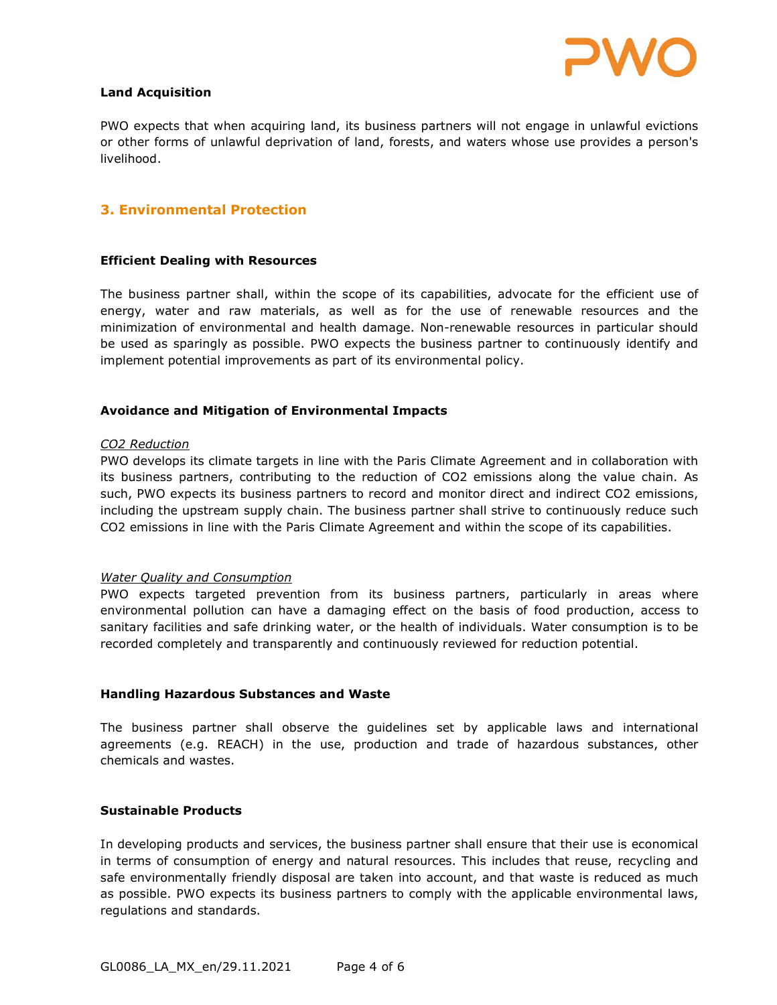

#### Land Acquisition

PWO expects that when acquiring land, its business partners will not engage in unlawful evictions or other forms of unlawful deprivation of land, forests, and waters whose use provides a person's livelihood.

## 3. Environmental Protection

#### Efficient Dealing with Resources

The business partner shall, within the scope of its capabilities, advocate for the efficient use of energy, water and raw materials, as well as for the use of renewable resources and the minimization of environmental and health damage. Non-renewable resources in particular should be used as sparingly as possible. PWO expects the business partner to continuously identify and implement potential improvements as part of its environmental policy.

#### Avoidance and Mitigation of Environmental Impacts

#### CO2 Reduction

PWO develops its climate targets in line with the Paris Climate Agreement and in collaboration with its business partners, contributing to the reduction of CO2 emissions along the value chain. As such, PWO expects its business partners to record and monitor direct and indirect CO2 emissions, including the upstream supply chain. The business partner shall strive to continuously reduce such CO2 emissions in line with the Paris Climate Agreement and within the scope of its capabilities.

#### Water Quality and Consumption

PWO expects targeted prevention from its business partners, particularly in areas where environmental pollution can have a damaging effect on the basis of food production, access to sanitary facilities and safe drinking water, or the health of individuals. Water consumption is to be recorded completely and transparently and continuously reviewed for reduction potential.

#### Handling Hazardous Substances and Waste

The business partner shall observe the guidelines set by applicable laws and international agreements (e.g. REACH) in the use, production and trade of hazardous substances, other chemicals and wastes.

#### Sustainable Products

In developing products and services, the business partner shall ensure that their use is economical in terms of consumption of energy and natural resources. This includes that reuse, recycling and safe environmentally friendly disposal are taken into account, and that waste is reduced as much as possible. PWO expects its business partners to comply with the applicable environmental laws, regulations and standards.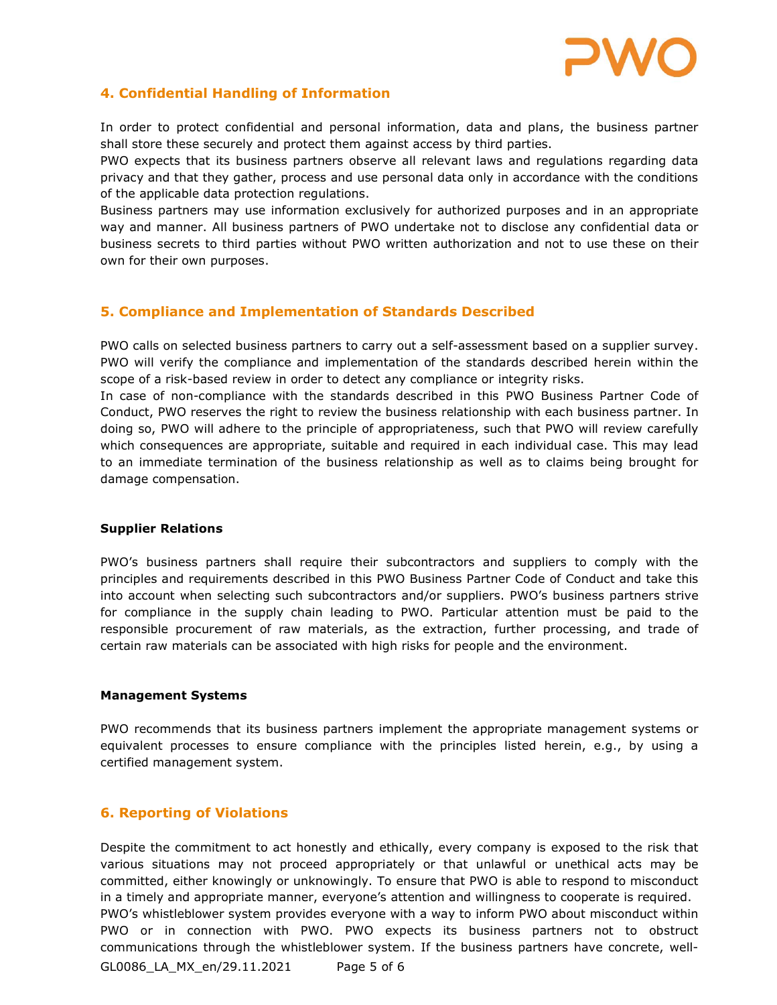

# 4. Confidential Handling of Information

In order to protect confidential and personal information, data and plans, the business partner shall store these securely and protect them against access by third parties.

PWO expects that its business partners observe all relevant laws and regulations regarding data privacy and that they gather, process and use personal data only in accordance with the conditions of the applicable data protection regulations.

Business partners may use information exclusively for authorized purposes and in an appropriate way and manner. All business partners of PWO undertake not to disclose any confidential data or business secrets to third parties without PWO written authorization and not to use these on their own for their own purposes.

# 5. Compliance and Implementation of Standards Described

PWO calls on selected business partners to carry out a self-assessment based on a supplier survey. PWO will verify the compliance and implementation of the standards described herein within the scope of a risk-based review in order to detect any compliance or integrity risks.

In case of non-compliance with the standards described in this PWO Business Partner Code of Conduct, PWO reserves the right to review the business relationship with each business partner. In doing so, PWO will adhere to the principle of appropriateness, such that PWO will review carefully which consequences are appropriate, suitable and required in each individual case. This may lead to an immediate termination of the business relationship as well as to claims being brought for damage compensation.

#### Supplier Relations

PWO's business partners shall require their subcontractors and suppliers to comply with the principles and requirements described in this PWO Business Partner Code of Conduct and take this into account when selecting such subcontractors and/or suppliers. PWO's business partners strive for compliance in the supply chain leading to PWO. Particular attention must be paid to the responsible procurement of raw materials, as the extraction, further processing, and trade of certain raw materials can be associated with high risks for people and the environment.

#### Management Systems

PWO recommends that its business partners implement the appropriate management systems or equivalent processes to ensure compliance with the principles listed herein, e.g., by using a certified management system.

### 6. Reporting of Violations

Despite the commitment to act honestly and ethically, every company is exposed to the risk that various situations may not proceed appropriately or that unlawful or unethical acts may be committed, either knowingly or unknowingly. To ensure that PWO is able to respond to misconduct in a timely and appropriate manner, everyone's attention and willingness to cooperate is required. PWO's whistleblower system provides everyone with a way to inform PWO about misconduct within PWO or in connection with PWO. PWO expects its business partners not to obstruct communications through the whistleblower system. If the business partners have concrete, well-

GL0086\_LA\_MX\_en/29.11.2021 Page 5 of 6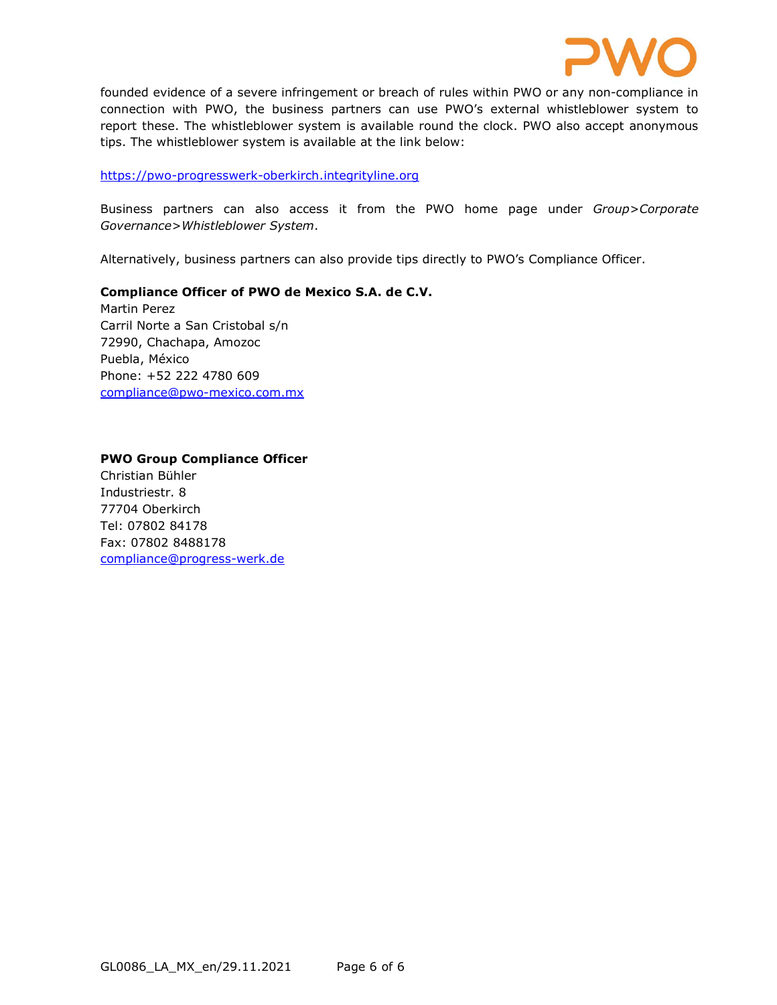

founded evidence of a severe infringement or breach of rules within PWO or any non-compliance in connection with PWO, the business partners can use PWO's external whistleblower system to report these. The whistleblower system is available round the clock. PWO also accept anonymous tips. The whistleblower system is available at the link below:

#### https://pwo-progresswerk-oberkirch.integrityline.org

Business partners can also access it from the PWO home page under Group>Corporate Governance>Whistleblower System.

Alternatively, business partners can also provide tips directly to PWO's Compliance Officer.

### Compliance Officer of PWO de Mexico S.A. de C.V.

Martin Perez Carril Norte a San Cristobal s/n 72990, Chachapa, Amozoc Puebla, México Phone: +52 222 4780 609 compliance@pwo-mexico.com.mx

# PWO Group Compliance Officer Christian Bühler Industriestr. 8 77704 Oberkirch Tel: 07802 84178 Fax: 07802 8488178 compliance@progress-werk.de